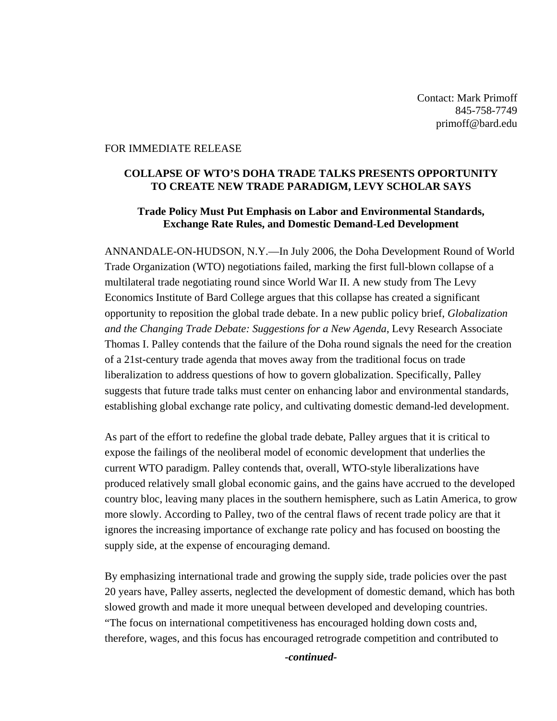Contact: Mark Primoff 845-758-7749 primoff@bard.edu

## FOR IMMEDIATE RELEASE

## **COLLAPSE OF WTO'S DOHA TRADE TALKS PRESENTS OPPORTUNITY TO CREATE NEW TRADE PARADIGM, LEVY SCHOLAR SAYS**

## **Trade Policy Must Put Emphasis on Labor and Environmental Standards, Exchange Rate Rules, and Domestic Demand-Led Development**

ANNANDALE-ON-HUDSON, N.Y.—In July 2006, the Doha Development Round of World Trade Organization (WTO) negotiations failed, marking the first full-blown collapse of a multilateral trade negotiating round since World War II. A new study from The Levy Economics Institute of Bard College argues that this collapse has created a significant opportunity to reposition the global trade debate. In a new public policy brief, *Globalization and the Changing Trade Debate: Suggestions for a New Agenda*, Levy Research Associate Thomas I. Palley contends that the failure of the Doha round signals the need for the creation of a 21st-century trade agenda that moves away from the traditional focus on trade liberalization to address questions of how to govern globalization. Specifically, Palley suggests that future trade talks must center on enhancing labor and environmental standards, establishing global exchange rate policy, and cultivating domestic demand-led development.

As part of the effort to redefine the global trade debate, Palley argues that it is critical to expose the failings of the neoliberal model of economic development that underlies the current WTO paradigm. Palley contends that, overall, WTO-style liberalizations have produced relatively small global economic gains, and the gains have accrued to the developed country bloc, leaving many places in the southern hemisphere, such as Latin America, to grow more slowly. According to Palley, two of the central flaws of recent trade policy are that it ignores the increasing importance of exchange rate policy and has focused on boosting the supply side, at the expense of encouraging demand.

By emphasizing international trade and growing the supply side, trade policies over the past 20 years have, Palley asserts, neglected the development of domestic demand, which has both slowed growth and made it more unequal between developed and developing countries. "The focus on international competitiveness has encouraged holding down costs and, therefore, wages, and this focus has encouraged retrograde competition and contributed to

*-continued-*